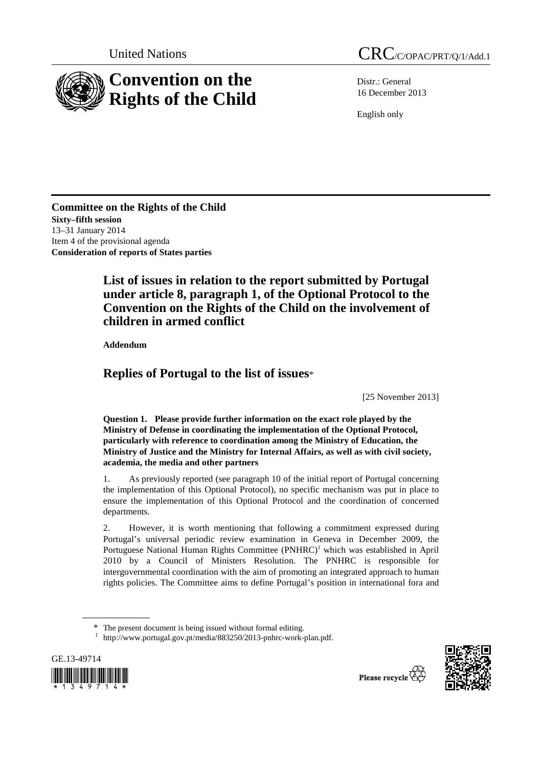

Distr.: General 16 December 2013

English only

**Committee on the Rights of the Child Sixty–fifth session**  13–31 January 2014 Item 4 of the provisional agenda **Consideration of reports of States parties** 

# **List of issues in relation to the report submitted by Portugal under article 8, paragraph 1, of the Optional Protocol to the Convention on the Rights of the Child on the involvement of children in armed conflict**

 **Addendum** 

## **Replies of Portugal to the list of issues**\*

[25 November 2013]

 **Question 1. Please provide further information on the exact role played by the Ministry of Defense in coordinating the implementation of the Optional Protocol, particularly with reference to coordination among the Ministry of Education, the Ministry of Justice and the Ministry for Internal Affairs, as well as with civil society, academia, the media and other partners** 

1. As previously reported (see paragraph 10 of the initial report of Portugal concerning the implementation of this Optional Protocol), no specific mechanism was put in place to ensure the implementation of this Optional Protocol and the coordination of concerned departments.

2. However, it is worth mentioning that following a commitment expressed during Portugal's universal periodic review examination in Geneva in December 2009, the Portuguese National Human Rights Committee (PNHRC)<sup>1</sup> which was established in April 2010 by a Council of Ministers Resolution. The PNHRC is responsible for intergovernmental coordination with the aim of promoting an integrated approach to human rights policies. The Committee aims to define Portugal's position in international fora and

<sup>&</sup>lt;sup>1</sup> http://www.portugal.gov.pt/media/883250/2013-pnhrc-work-plan.pdf.





<sup>\*</sup> The present document is being issued without formal editing.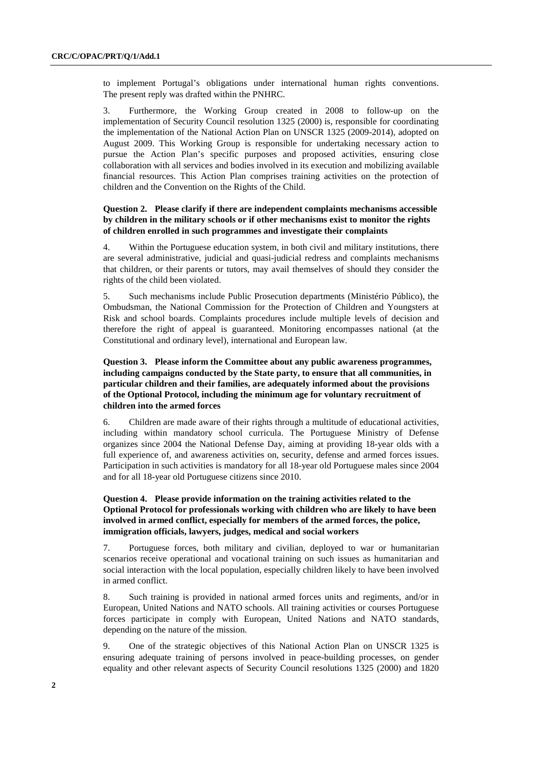to implement Portugal's obligations under international human rights conventions. The present reply was drafted within the PNHRC.

3. Furthermore, the Working Group created in 2008 to follow-up on the implementation of Security Council resolution 1325 (2000) is, responsible for coordinating the implementation of the National Action Plan on UNSCR 1325 (2009-2014), adopted on August 2009. This Working Group is responsible for undertaking necessary action to pursue the Action Plan's specific purposes and proposed activities, ensuring close collaboration with all services and bodies involved in its execution and mobilizing available financial resources. This Action Plan comprises training activities on the protection of children and the Convention on the Rights of the Child.

#### **Question 2. Please clarify if there are independent complaints mechanisms accessible by children in the military schools or if other mechanisms exist to monitor the rights of children enrolled in such programmes and investigate their complaints**

4. Within the Portuguese education system, in both civil and military institutions, there are several administrative, judicial and quasi-judicial redress and complaints mechanisms that children, or their parents or tutors, may avail themselves of should they consider the rights of the child been violated.

5. Such mechanisms include Public Prosecution departments (Ministério Público), the Ombudsman, the National Commission for the Protection of Children and Youngsters at Risk and school boards. Complaints procedures include multiple levels of decision and therefore the right of appeal is guaranteed. Monitoring encompasses national (at the Constitutional and ordinary level), international and European law.

## **Question 3. Please inform the Committee about any public awareness programmes, including campaigns conducted by the State party, to ensure that all communities, in particular children and their families, are adequately informed about the provisions of the Optional Protocol, including the minimum age for voluntary recruitment of children into the armed forces**

6. Children are made aware of their rights through a multitude of educational activities, including within mandatory school curricula. The Portuguese Ministry of Defense organizes since 2004 the National Defense Day, aiming at providing 18-year olds with a full experience of, and awareness activities on, security, defense and armed forces issues. Participation in such activities is mandatory for all 18-year old Portuguese males since 2004 and for all 18-year old Portuguese citizens since 2010.

## **Question 4. Please provide information on the training activities related to the Optional Protocol for professionals working with children who are likely to have been involved in armed conflict, especially for members of the armed forces, the police, immigration officials, lawyers, judges, medical and social workers**

7. Portuguese forces, both military and civilian, deployed to war or humanitarian scenarios receive operational and vocational training on such issues as humanitarian and social interaction with the local population, especially children likely to have been involved in armed conflict.

8. Such training is provided in national armed forces units and regiments, and/or in European, United Nations and NATO schools. All training activities or courses Portuguese forces participate in comply with European, United Nations and NATO standards, depending on the nature of the mission.

9. One of the strategic objectives of this National Action Plan on UNSCR 1325 is ensuring adequate training of persons involved in peace-building processes, on gender equality and other relevant aspects of Security Council resolutions 1325 (2000) and 1820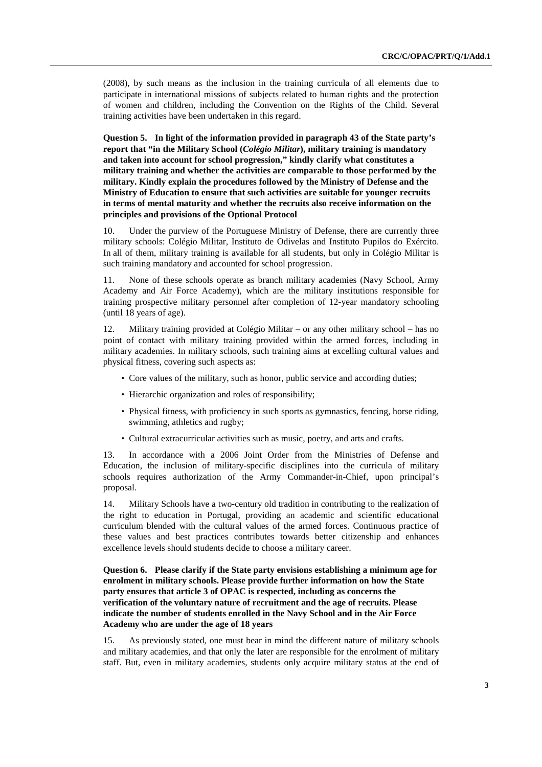(2008), by such means as the inclusion in the training curricula of all elements due to participate in international missions of subjects related to human rights and the protection of women and children, including the Convention on the Rights of the Child. Several training activities have been undertaken in this regard.

 **Question 5. In light of the information provided in paragraph 43 of the State party's report that "in the Military School (***Colégio Militar***), military training is mandatory and taken into account for school progression," kindly clarify what constitutes a military training and whether the activities are comparable to those performed by the military. Kindly explain the procedures followed by the Ministry of Defense and the Ministry of Education to ensure that such activities are suitable for younger recruits in terms of mental maturity and whether the recruits also receive information on the principles and provisions of the Optional Protocol** 

10. Under the purview of the Portuguese Ministry of Defense, there are currently three military schools: Colégio Militar, Instituto de Odivelas and Instituto Pupilos do Exército. In all of them, military training is available for all students, but only in Colégio Militar is such training mandatory and accounted for school progression.

11. None of these schools operate as branch military academies (Navy School, Army Academy and Air Force Academy), which are the military institutions responsible for training prospective military personnel after completion of 12-year mandatory schooling (until 18 years of age).

12. Military training provided at Colégio Militar – or any other military school – has no point of contact with military training provided within the armed forces, including in military academies. In military schools, such training aims at excelling cultural values and physical fitness, covering such aspects as:

- Core values of the military, such as honor, public service and according duties;
- Hierarchic organization and roles of responsibility;
- Physical fitness, with proficiency in such sports as gymnastics, fencing, horse riding, swimming, athletics and rugby;
- Cultural extracurricular activities such as music, poetry, and arts and crafts.

13. In accordance with a 2006 Joint Order from the Ministries of Defense and Education, the inclusion of military-specific disciplines into the curricula of military schools requires authorization of the Army Commander-in-Chief, upon principal's proposal.

14. Military Schools have a two-century old tradition in contributing to the realization of the right to education in Portugal, providing an academic and scientific educational curriculum blended with the cultural values of the armed forces. Continuous practice of these values and best practices contributes towards better citizenship and enhances excellence levels should students decide to choose a military career.

## **Question 6. Please clarify if the State party envisions establishing a minimum age for enrolment in military schools. Please provide further information on how the State party ensures that article 3 of OPAC is respected, including as concerns the verification of the voluntary nature of recruitment and the age of recruits. Please indicate the number of students enrolled in the Navy School and in the Air Force Academy who are under the age of 18 years**

15. As previously stated, one must bear in mind the different nature of military schools and military academies, and that only the later are responsible for the enrolment of military staff. But, even in military academies, students only acquire military status at the end of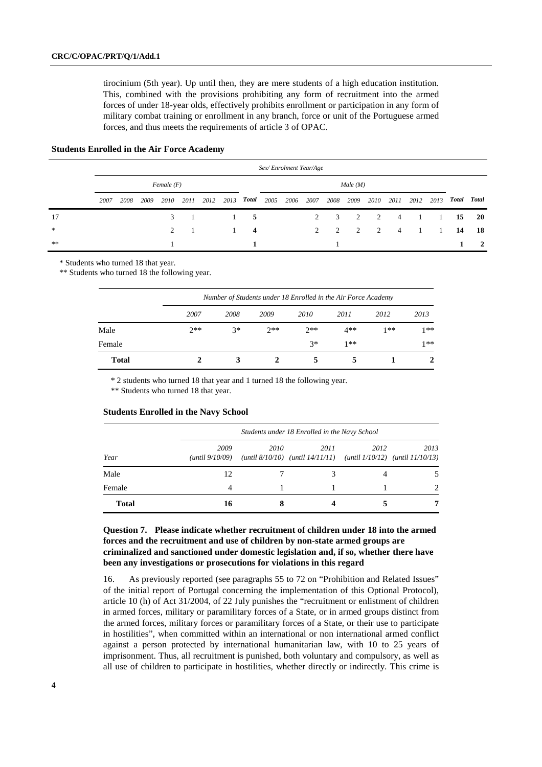tirocinium (5th year). Up until then, they are mere students of a high education institution. This, combined with the provisions prohibiting any form of recruitment into the armed forces of under 18-year olds, effectively prohibits enrollment or participation in any form of military combat training or enrollment in any branch, force or unit of the Portuguese armed forces, and thus meets the requirements of article 3 of OPAC.

#### **Students Enrolled in the Air Force Academy**

|        | Sex/Enrolment Year/Age |      |      |               |      |      |      |                         |      |      |      |                             |                |               |                |      |      |       |           |
|--------|------------------------|------|------|---------------|------|------|------|-------------------------|------|------|------|-----------------------------|----------------|---------------|----------------|------|------|-------|-----------|
|        | Female(F)              |      |      |               |      |      |      | Male(M)                 |      |      |      |                             |                |               |                |      |      |       |           |
|        | 2007                   | 2008 | 2009 | 2010          | 2011 | 2012 | 2013 | Total                   | 2005 | 2006 | 2007 | 2008                        | 2009           | 2010          | 2011           | 2012 | 2013 | Total | Total     |
| 17     |                        |      |      | 3             |      |      |      | 5                       |      |      | 2    | 3                           | $\overline{2}$ | 2             | $\overline{4}$ |      |      | 15    | <b>20</b> |
| $\ast$ |                        |      |      | $\mathcal{D}$ | - 1  |      |      | $\overline{\mathbf{4}}$ |      |      | 2    | $\mathcal{D}_{\mathcal{L}}$ | $\gamma$       | $\mathcal{D}$ | $\overline{4}$ |      |      | 14    | 18        |
| $**$   |                        |      |      |               |      |      |      |                         |      |      |      |                             |                |               |                |      |      |       | 2         |

\* Students who turned 18 that year.

\*\* Students who turned 18 the following year.

|              | Number of Students under 18 Enrolled in the Air Force Academy |      |       |       |       |      |      |  |  |  |
|--------------|---------------------------------------------------------------|------|-------|-------|-------|------|------|--|--|--|
|              | 2007                                                          | 2008 | 2009  | 2010  | 2011  | 2012 | 2013 |  |  |  |
| Male         | $2**$                                                         | $3*$ | $2**$ | $2**$ | $4**$ | 1**  | 1**  |  |  |  |
| Female       |                                                               |      |       | $3*$  | $1**$ |      | 1**  |  |  |  |
| <b>Total</b> |                                                               |      |       |       |       |      |      |  |  |  |

\* 2 students who turned 18 that year and 1 turned 18 the following year.

\*\* Students who turned 18 that year.

|              |                         | Students under 18 Enrolled in the Navy School |                                                                                       |      |                             |  |  |  |  |  |
|--------------|-------------------------|-----------------------------------------------|---------------------------------------------------------------------------------------|------|-----------------------------|--|--|--|--|--|
| Year         | 2009<br>(until 9/10/09) | 2010                                          | 2011<br>(until $8/10/10$ ) (until $14/11/11$ ) (until $1/10/12$ ) (until $11/10/13$ ) | 2012 | 2013                        |  |  |  |  |  |
| Male         | 12                      |                                               |                                                                                       |      |                             |  |  |  |  |  |
| Female       | 4                       |                                               |                                                                                       |      | $\mathcal{D}_{\mathcal{L}}$ |  |  |  |  |  |
| <b>Total</b> | 16                      |                                               |                                                                                       |      |                             |  |  |  |  |  |

#### **Students Enrolled in the Navy School**

### **Question 7. Please indicate whether recruitment of children under 18 into the armed forces and the recruitment and use of children by non-state armed groups are criminalized and sanctioned under domestic legislation and, if so, whether there have been any investigations or prosecutions for violations in this regard**

16. As previously reported (see paragraphs 55 to 72 on "Prohibition and Related Issues" of the initial report of Portugal concerning the implementation of this Optional Protocol), article 10 (h) of Act 31/2004, of 22 July punishes the "recruitment or enlistment of children in armed forces, military or paramilitary forces of a State, or in armed groups distinct from the armed forces, military forces or paramilitary forces of a State, or their use to participate in hostilities", when committed within an international or non international armed conflict against a person protected by international humanitarian law, with 10 to 25 years of imprisonment. Thus, all recruitment is punished, both voluntary and compulsory, as well as all use of children to participate in hostilities, whether directly or indirectly. This crime is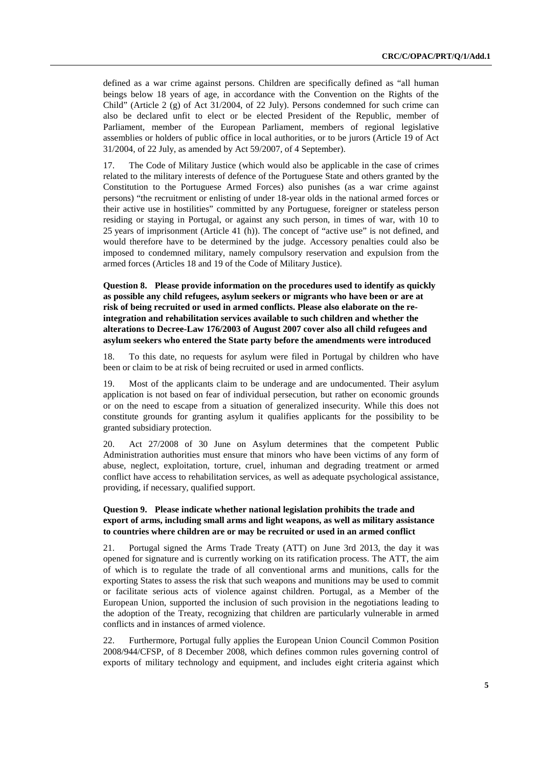defined as a war crime against persons. Children are specifically defined as "all human beings below 18 years of age, in accordance with the Convention on the Rights of the Child" (Article 2 (g) of Act 31/2004, of 22 July). Persons condemned for such crime can also be declared unfit to elect or be elected President of the Republic, member of Parliament, member of the European Parliament, members of regional legislative assemblies or holders of public office in local authorities, or to be jurors (Article 19 of Act 31/2004, of 22 July, as amended by Act 59/2007, of 4 September).

17. The Code of Military Justice (which would also be applicable in the case of crimes related to the military interests of defence of the Portuguese State and others granted by the Constitution to the Portuguese Armed Forces) also punishes (as a war crime against persons) "the recruitment or enlisting of under 18-year olds in the national armed forces or their active use in hostilities" committed by any Portuguese, foreigner or stateless person residing or staying in Portugal, or against any such person, in times of war, with 10 to 25 years of imprisonment (Article 41 (h)). The concept of "active use" is not defined, and would therefore have to be determined by the judge. Accessory penalties could also be imposed to condemned military, namely compulsory reservation and expulsion from the armed forces (Articles 18 and 19 of the Code of Military Justice).

 **Question 8. Please provide information on the procedures used to identify as quickly as possible any child refugees, asylum seekers or migrants who have been or are at risk of being recruited or used in armed conflicts. Please also elaborate on the reintegration and rehabilitation services available to such children and whether the alterations to Decree-Law 176/2003 of August 2007 cover also all child refugees and asylum seekers who entered the State party before the amendments were introduced** 

18. To this date, no requests for asylum were filed in Portugal by children who have been or claim to be at risk of being recruited or used in armed conflicts.

19. Most of the applicants claim to be underage and are undocumented. Their asylum application is not based on fear of individual persecution, but rather on economic grounds or on the need to escape from a situation of generalized insecurity. While this does not constitute grounds for granting asylum it qualifies applicants for the possibility to be granted subsidiary protection.

20. Act 27/2008 of 30 June on Asylum determines that the competent Public Administration authorities must ensure that minors who have been victims of any form of abuse, neglect, exploitation, torture, cruel, inhuman and degrading treatment or armed conflict have access to rehabilitation services, as well as adequate psychological assistance, providing, if necessary, qualified support.

#### **Question 9. Please indicate whether national legislation prohibits the trade and export of arms, including small arms and light weapons, as well as military assistance to countries where children are or may be recruited or used in an armed conflict**

21. Portugal signed the Arms Trade Treaty (ATT) on June 3rd 2013, the day it was opened for signature and is currently working on its ratification process. The ATT, the aim of which is to regulate the trade of all conventional arms and munitions, calls for the exporting States to assess the risk that such weapons and munitions may be used to commit or facilitate serious acts of violence against children. Portugal, as a Member of the European Union, supported the inclusion of such provision in the negotiations leading to the adoption of the Treaty, recognizing that children are particularly vulnerable in armed conflicts and in instances of armed violence.

22. Furthermore, Portugal fully applies the European Union Council Common Position 2008/944/CFSP, of 8 December 2008, which defines common rules governing control of exports of military technology and equipment, and includes eight criteria against which